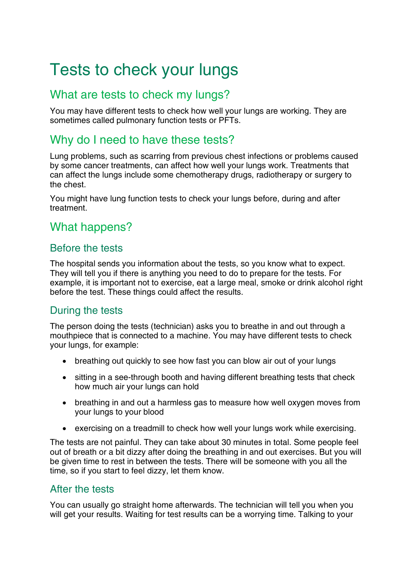# Tests to check your lungs

# What are tests to check my lungs?

You may have different tests to check how well your lungs are working. They are sometimes called pulmonary function tests or PFTs.

# Why do I need to have these tests?

Lung problems, such as scarring from previous chest infections or problems caused by some cancer treatments, can affect how well your lungs work. Treatments that can affect the lungs include some chemotherapy drugs, [radiotherapy](http://www.macmillan.org.uk/Cancerinformation/teensandyoungadults/Treatment/Radiotherapy/Radiotherapy.aspx) or surgery to the chest.

You might have lung function tests to check your lungs before, during and after treatment.

## What happens?

## Before the tests

The hospital sends you information about the tests, so you know what to expect. They will tell you if there is anything you need to do to prepare for the tests. For example, it is important not to exercise, eat a large meal, smoke or drink alcohol right before the test. These things could affect the results.

### During the tests

The person doing the tests (technician) asks you to breathe in and out through a mouthpiece that is connected to a machine. You may have different tests to check your lungs, for example:

- breathing out quickly to see how fast you can blow air out of your lungs
- sitting in a see-through booth and having different breathing tests that check how much air your lungs can hold
- breathing in and out a harmless gas to measure how well oxygen moves from your lungs to your blood
- exercising on a treadmill to check how well your lungs work while exercising.

The tests are not painful. They can take about 30 minutes in total. Some people feel out of breath or a bit dizzy after doing the breathing in and out exercises. But you will be given time to rest in between the tests. There will be someone with you all the time, so if you start to feel dizzy, let them know.

### After the tests

You can usually go straight home afterwards. The technician will tell you when you will get your results. Waiting for test results can be a worrying time. Talking to your